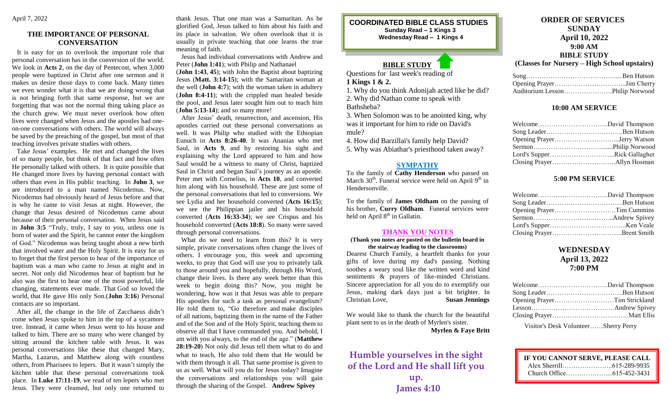#### **THE IMPORTANCE OF PERSONAL CONVERSATION**

 It is easy for us to overlook the important role that personal conversation has in the conversion of the world. We look in **Acts 2**, on the day of Pentecost, when 3,000 people were baptized in Christ after one sermon and it makes us desire those days to come back. Many times we even wonder what it is that we are doing wrong that is not bringing forth that same response, but we are forgetting that was not the normal thing taking place as the church grew. We must never overlook how often lives were changed when Jesus and the apostles had oneon-one conversations with others. The world will always be saved by the preaching of the gospel, but most of that teaching involves private studies with others.

 Take Jesus' examples. He met and changed the lives of so many people, but think of that fact and how often He personally talked with others. It is quite possible that He changed more lives by having personal contact with others than even in His public teaching. In **John 3**, we are introduced to a man named Nicodemus. Now, Nicodemus had obviously heard of Jesus before and that is why he came to visit Jesus at night. However, the change that Jesus desired of Nicodemus came about because of their personal conversation. When Jesus said in **John 3:5** "Truly, truly, I say to you, unless one is born of water and the Spirit, he cannot enter the kingdom of God." Nicodemus was being taught about a new birth that involved water and the Holy Spirit. It is easy for us to forget that the first person to hear of the importance of baptism was a man who came to Jesus at night and in secret. Not only did Nicodemus hear of baptism but he also was the first to hear one of the most powerful, life changing, statements ever made. That God so loved the world, that He gave His only Son.(**John 3:16**) Personal contacts are so important.

 After all, the change in the life of Zacchaeus didn't come when Jesus spoke to him in the top of a sycamore tree. Instead, it came when Jesus went to his house and talked to him. There are so many who were changed by sitting around the kitchen table with Jesus. It was personal conversations like these that changed Mary, Martha, Lazarus, and Matthew along with countless others, from Pharisees to lepers. But it wasn't simply the kitchen table that these personal conversations took place. In **Luke 17:11-19**, we read of ten lepers who met Jesus. They were cleansed, but only one returned to

thank Jesus. That one man was a Samaritan. As he glorified God, Jesus talked to him about his faith and its place in salvation. We often overlook that it is usually in private teaching that one learns the true meaning of faith.

 Jesus had individual conversations with Andrew and Peter (**John 1:41**); with Philip and Nathanael

(**John 1:43**, **45**); with John the Baptist about baptizing Jesus (**Matt. 3:14-15**); with the Samaritan woman at the well (**John 4:7**); with the woman taken in adultery (**John 8:4-11**); with the crippled man healed beside the pool, and Jesus later sought him out to teach him (**John [5:13-14](https://biblia.com/bible/esv/John%205.13-14)**); and so many more!

 After Jesus' death, resurrection, and ascension, His apostles carried out these personal conversations as well. It was Philip who studied with the Ethiopian Eunuch in **Acts 8:26-40**. It was Ananias who met Saul, in **Acts 9**, and by restoring his sight and explaining why the Lord appeared to him and how Saul would be a witness to many of Christ, baptized Saul in Christ and began Saul's journey as an apostle. Peter met with Cornelius, in **Acts 10**, and converted him along with his household. These are just some of the personal conversations that led to conversions. We see Lydia and her household converted (**Acts 16:15**); we see the Philippian jailer and his household converted (**Acts 16:33-34**); we see Crispus and his household converted (**Acts 18:8**). So many were saved through personal conversations.

 What do we need to learn from this? It is very simple, private conversations often change the lives of others. I encourage you, this week and upcoming weeks, to pray that God will use you to privately talk to those around you and hopefully, through His Word, change their lives. Is there any week better than this week to begin doing this? Now, you might be wondering, how was it that Jesus was able to prepare His apostles for such a task as personal evangelism? He told them to, "Go therefore and make disciples of all nations, baptizing them in the name of the Father and of the Son and of the Holy Spirit, teaching them to observe all that I have commanded you. And behold, I am with you always, to the end of the age." (**Matthew 28:19-20**) Not only did Jesus tell them what to do and what to teach, He also told them that He would be with them through it all. That same promise is given to us as well. What will you do for Jesus today? Imagine the conversations and relationships you will gain through the sharing of the Gospel. **Andrew Spivey**

#### **COORDINATED BIBLE CLASS STUDIES Sunday Read – 1 Kings 3 Wednesday Read – 1 Kings 4**

### **BIBLE STUDY**

Questions for last week's reading of **1 Kings 1 & 2.**

1. Why do you think Adonijah acted like he did?

2. Why did Nathan come to speak with

Bathsheba?

3. When Solomon was to be anointed king, why was it important for him to ride on David's mule?

4. How did Barzillai's family help David?

5. Why was Abiathar's priesthood taken away?

#### **SYMPATHY**

To the family of **Cathy Henderson** who passed on March  $30<sup>th</sup>$ . Funeral service were held on April  $9<sup>th</sup>$  in Hendersonville.

To the family of **James Oldham** on the passing of his brother, **Curry Oldham**. Funeral services were held on April  $8<sup>th</sup>$  in Gallatin.

#### **THANK YOU NOTES**

#### **(Thank you notes are posted on the bulletin board in the stairway leading to the classrooms)**

Dearest Church Family, a heartfelt thanks for your gifts of love during my dad's passing. Nothing soothes a weary soul like the written word and kind sentiments & prayers of like-minded Christians. Sincere appreciation for all you do to exemplify our Jesus, making dark days just a bit brighter. In Christian Love, **Susan Jennings**

We would like to thank the church for the beautiful plant sent to us in the death of Myrlen's sister.

**Myrlen & Faye Britt**

## **Humble yourselves in the sight of the Lord and He shall lift you up.**

**James 4:10**

#### **ORDER OF SERVICES SUNDAY April 10, 2022 9:00 AM BIBLE STUDY**

#### **(Classes for Nursery – High School upstairs)**

| Auditorium LessonPhilip Norwood |  |
|---------------------------------|--|

#### **10:00 AM SERVICE**

| Lord's SupperRick Gallagher |  |
|-----------------------------|--|
|                             |  |

#### **5:00 PM SERVICE**

#### **WEDNESDAY April 13, 2022 7:00 PM**

Visitor's Desk Volunteer……Sherry Perry

| IF YOU CANNOT SERVE, PLEASE CALL |  |
|----------------------------------|--|
|                                  |  |
|                                  |  |
|                                  |  |